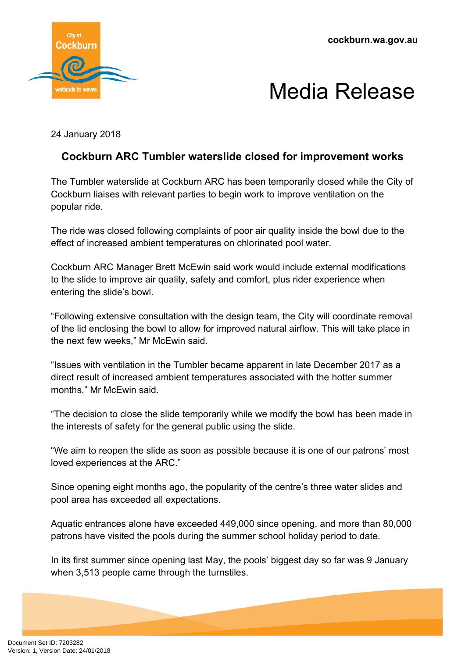**cockburn.wa.gov.au**





24 January 2018

## **Cockburn ARC Tumbler waterslide closed for improvement works**

The Tumbler waterslide at Cockburn ARC has been temporarily closed while the City of Cockburn liaises with relevant parties to begin work to improve ventilation on the popular ride.

The ride was closed following complaints of poor air quality inside the bowl due to the effect of increased ambient temperatures on chlorinated pool water.

Cockburn ARC Manager Brett McEwin said work would include external modifications to the slide to improve air quality, safety and comfort, plus rider experience when entering the slide's bowl.

"Following extensive consultation with the design team, the City will coordinate removal of the lid enclosing the bowl to allow for improved natural airflow. This will take place in the next few weeks," Mr McEwin said.

"Issues with ventilation in the Tumbler became apparent in late December 2017 as a direct result of increased ambient temperatures associated with the hotter summer months." Mr McEwin said.

"The decision to close the slide temporarily while we modify the bowl has been made in the interests of safety for the general public using the slide.

"We aim to reopen the slide as soon as possible because it is one of our patrons' most loved experiences at the ARC."

Since opening eight months ago, the popularity of the centre's three water slides and pool area has exceeded all expectations.

Aquatic entrances alone have exceeded 449,000 since opening, and more than 80,000 patrons have visited the pools during the summer school holiday period to date.

In its first summer since opening last May, the pools' biggest day so far was 9 January when 3,513 people came through the turnstiles.

Document Set ID: 7203282<br>Version: 1, Version Date: 24/01/2018